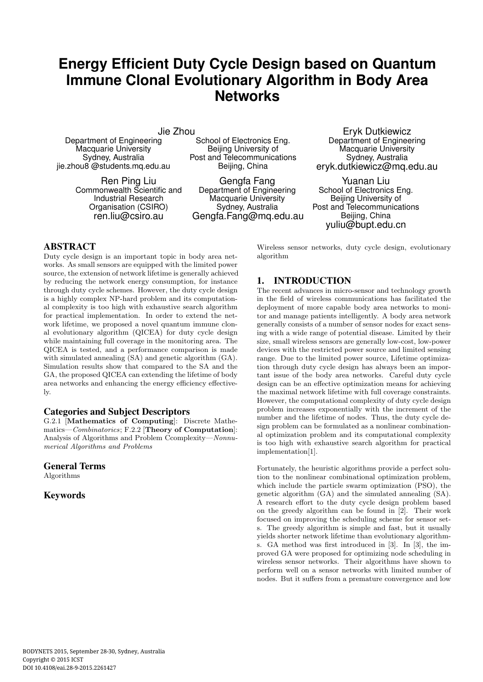# **Energy Efficient Duty Cycle Design based on Quantum Immune Clonal Evolutionary Algorithm in Body Area Networks**

Jie Zhou

Department of Engineering Macquarie University Sydney, Australia jie.zhou8 @students.mq.edu.au

> Ren Ping Liu Commonwealth Scientific and Industrial Research Organisation (CSIRO) ren.liu@csiro.au

School of Electronics Eng. Beijing University of Post and Telecommunications Beijing, China

Gengfa Fang Department of Engineering Macquarie University Sydney, Australia Gengfa.Fang@mq.edu.au

Eryk Dutkiewicz Department of Engineering Macquarie University Sydney, Australia eryk.dutkiewicz@mq.edu.au

Yuanan Liu School of Electronics Eng. Beijing University of Post and Telecommunications Beijing, China yuliu@bupt.edu.cn

# ABSTRACT

Duty cycle design is an important topic in body area networks. As small sensors are equipped with the limited power source, the extension of network lifetime is generally achieved by reducing the network energy consumption, for instance through duty cycle schemes. However, the duty cycle design is a highly complex NP-hard problem and its computational complexity is too high with exhaustive search algorithm for practical implementation. In order to extend the network lifetime, we proposed a novel quantum immune clonal evolutionary algorithm (QICEA) for duty cycle design while maintaining full coverage in the monitoring area. The QICEA is tested, and a performance comparison is made with simulated annealing (SA) and genetic algorithm (GA). Simulation results show that compared to the SA and the GA, the proposed QICEA can extending the lifetime of body area networks and enhancing the energy efficiency effectively.

#### Categories and Subject Descriptors

G.2.1 [**Mathematics of Computing**]: Discrete Mathematics—*Combinatorics*; F.2.2 [**Theory of Computation**]: Analysis of Algorithms and Problem Ccomplexity—*Nonnumerical Algorithms and Problems*

### General Terms

Algorithms

## Keywords

Wireless sensor networks, duty cycle design, evolutionary algorithm

# 1. INTRODUCTION

The recent advances in micro-sensor and technology growth in the field of wireless communications has facilitated the deployment of more capable body area networks to monitor and manage patients intelligently. A body area network generally consists of a number of sensor nodes for exact sensing with a wide range of potential disease. Limited by their size, small wireless sensors are generally low-cost, low-power devices with the restricted power source and limited sensing range. Due to the limited power source, Lifetime optimization through duty cycle design has always been an important issue of the body area networks. Careful duty cycle design can be an effective optimization means for achieving the maximal network lifetime with full coverage constraints. However, the computational complexity of duty cycle design problem increases exponentially with the increment of the number and the lifetime of nodes. Thus, the duty cycle design problem can be formulated as a nonlinear combinational optimization problem and its computational complexity is too high with exhaustive search algorithm for practical implementation[1].

Fortunately, the heuristic algorithms provide a perfect solution to the nonlinear combinational optimization problem, which include the particle swarm optimization (PSO), the genetic algorithm (GA) and the simulated annealing (SA). A research effort to the duty cycle design problem based on the greedy algorithm can be found in [2]. Their work focused on improving the scheduling scheme for sensor sets. The greedy algorithm is simple and fast, but it usually yields shorter network lifetime than evolutionary algorithms. GA method was first introduced in [3]. In [3], the improved GA were proposed for optimizing node scheduling in wireless sensor networks. Their algorithms have shown to perform well on a sensor networks with limited number of nodes. But it suffers from a premature convergence and low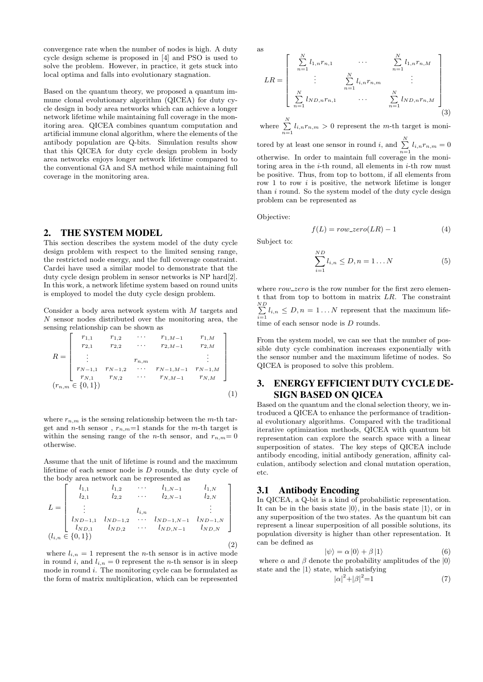convergence rate when the number of nodes is high. A duty cycle design scheme is proposed in [4] and PSO is used to solve the problem. However, in practice, it gets stuck into local optima and falls into evolutionary stagnation.

Based on the quantum theory, we proposed a quantum immune clonal evolutionary algorithm (QICEA) for duty cycle design in body area networks which can achieve a longer network lifetime while maintaining full coverage in the monitoring area. QICEA combines quantum computation and artificial immune clonal algorithm, where the elements of the antibody population are Q-bits. Simulation results show that this QICEA for duty cycle design problem in body area networks enjoys longer network lifetime compared to the conventional GA and SA method while maintaining full coverage in the monitoring area.

# 2. THE SYSTEM MODEL

This section describes the system model of the duty cycle design problem with respect to the limited sensing range, the restricted node energy, and the full coverage constraint. Cardei have used a similar model to demonstrate that the duty cycle design problem in sensor networks is NP hard[2]. In this work, a network lifetime system based on round units is employed to model the duty cycle design problem.

Consider a body area network system with *M* targets and *N* sensor nodes distributed over the monitoring area, the sensing relationship can be shown as

$$
R = \begin{bmatrix} r_{1,1} & r_{1,2} & \cdots & r_{1,M-1} & r_{1,M} \\ r_{2,1} & r_{2,2} & \cdots & r_{2,M-1} & r_{2,M} \\ \vdots & & & & & \vdots \\ r_{N-1,1} & r_{N-1,2} & \cdots & r_{N-1,M-1} & r_{N-1,M} \\ r_{N,1} & r_{N,2} & \cdots & r_{N,M-1} & r_{N,M} \end{bmatrix}
$$

$$
(r_{n,m} \in \{0,1\})
$$
 (1)

where  $r_{n,m}$  is the sensing relationship between the  $m$ -th target and *n*-th sensor , *rn,m*=1 stands for the *m*-th target is within the sensing range of the *n*-th sensor, and  $r_{n,m}=0$ otherwise.

Assume that the unit of lifetime is round and the maximum lifetime of each sensor node is *D* rounds, the duty cycle of the body area network can be represented as

$$
L = \begin{bmatrix} l_{1,1} & l_{1,2} & \cdots & l_{1,N-1} & l_{1,N} \\ l_{2,1} & l_{2,2} & \cdots & l_{2,N-1} & l_{2,N} \\ \vdots & & \vdots & & \vdots \\ l_{ND-1,1} & l_{ND-1,2} & \cdots & l_{ND-1,N-1} & l_{ND-1,N} \\ l_{ND,1} & l_{ND,2} & \cdots & l_{ND,N-1} & l_{ND,N} \end{bmatrix}
$$

$$
(l_{i,n} \in \{0,1\})
$$
 (2)

where  $l_{i,n} = 1$  represent the *n*-th sensor is in active mode in round *i*, and  $l_{i,n} = 0$  represent the *n*-th sensor is in sleep mode in round *i*. The monitoring cycle can be formulated as the form of matrix multiplication, which can be represented

as

$$
LR = \begin{bmatrix} \sum_{n=1}^{N} l_{1,n}r_{n,1} & \cdots & \sum_{n=1}^{N} l_{1,n}r_{n,M} \\ \vdots & \sum_{n=1}^{N} l_{i,n}r_{n,m} & \vdots \\ \sum_{n=1}^{N} l_{ND,n}r_{n,1} & \cdots & \sum_{n=1}^{N} l_{ND,n}r_{n,M} \end{bmatrix}
$$
(3)

where  $\sum_{n=1}^{N} l_{i,n} r_{n,m} > 0$  represent the *m*-th target is monitored by at least one sensor in round *i*, and  $\sum_{n=1}^{N} l_{i,n} r_{n,m} = 0$ otherwise. In order to maintain full coverage in the monitoring area in the *i*-th round, all elements in *i*-th row must be positive. Thus, from top to bottom, if all elements from row 1 to row *i* is positive, the network lifetime is longer than *i* round. So the system model of the duty cycle design problem can be represented as

Objective:

$$
f(L) = row\_zero(LR) - 1
$$
\n(4)

Subject to:

$$
\sum_{i=1}^{ND} l_{i,n} \le D, n = 1...N
$$
 (5)

where  $row\_zero$  is the row number for the first zero element that from top to bottom in matrix *LR*. The constraint *ND*∑  $\sum_{i=1}^{n} l_{i,n} \leq D, n = 1...N$  represent that the maximum lifetime of each sensor node is *D* rounds.

From the system model, we can see that the number of possible duty cycle combination increases exponentially with the sensor number and the maximum lifetime of nodes. So QICEA is proposed to solve this problem.

# 3. ENERGY EFFICIENT DUTY CYCLE DE-SIGN BASED ON QICEA

Based on the quantum and the clonal selection theory, we introduced a QICEA to enhance the performance of traditional evolutionary algorithms. Compared with the traditional iterative optimization methods, QICEA with quantum bit representation can explore the search space with a linear superposition of states. The key steps of QICEA include antibody encoding, initial antibody generation, affinity calculation, antibody selection and clonal mutation operation, etc.

#### 3.1 Antibody Encoding

In QICEA, a Q-bit is a kind of probabilistic representation. It can be in the basis state  $|0\rangle$ , in the basis state  $|1\rangle$ , or in any superposition of the two states. As the quantum bit can represent a linear superposition of all possible solutions, its population diversity is higher than other representation. It can be defined as

$$
|\psi\rangle = \alpha |0\rangle + \beta |1\rangle \tag{6}
$$

where  $\alpha$  and  $\beta$  denote the probability amplitudes of the  $|0\rangle$ state and the *|*1*⟩* state, which satisfying

$$
|\alpha|^2 + |\beta|^2 = 1 \tag{7}
$$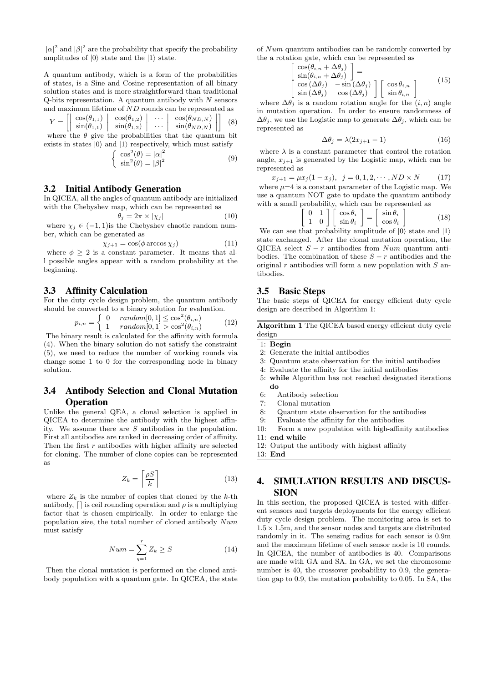$|\alpha|^2$  and  $|\beta|^2$  are the probability that specify the probability amplitudes of  $|0\rangle$  state and the  $|1\rangle$  state.

A quantum antibody, which is a form of the probabilities of states, is a Sine and Cosine representation of all binary solution states and is more straightforward than traditional Q-bits representation. A quantum antibody with *N* sensors and maximum lifetime of *ND* rounds can be represented as

$$
Y = \left[ \left| \begin{array}{c} \cos(\theta_{1,1}) \\ \sin(\theta_{1,1}) \end{array} \right| \left| \begin{array}{c} \cos(\theta_{1,2}) \\ \sin(\theta_{1,2}) \end{array} \right| \left| \begin{array}{c} \cdots \\ \cdots \end{array} \right| \left| \begin{array}{c} \cos(\theta_{ND,N}) \\ \sin(\theta_{ND,N}) \end{array} \right| \right] \tag{8}
$$

where the  $\theta$  give the probabilities that the quantum bit exists in states  $|0\rangle$  and  $|1\rangle$  respectively, which must satisfy

$$
\begin{cases} \cos^2(\theta) = |\alpha|^2\\ \sin^2(\theta) = |\beta|^2 \end{cases}
$$
 (9)

#### 3.2 Initial Antibody Generation

In QICEA, all the angles of quantum antibody are initialized with the Chebyshev map, which can be represented as

$$
\theta_j = 2\pi \times |\chi_j| \tag{10}
$$

where  $\chi_j \in (-1, 1)$  is the Chebyshev chaotic random number, which can be generated as

$$
\chi_{j+1} = \cos(\phi \arccos \chi_j) \tag{11}
$$

where  $\phi \geq 2$  is a constant parameter. It means that all possible angles appear with a random probability at the beginning.

#### 3.3 Affinity Calculation

For the duty cycle design problem, the quantum antibody should be converted to a binary solution for evaluation.

$$
p_{i,n} = \begin{cases} 0 & random[0,1] \le \cos^2(\theta_{i,n}) \\ 1 & random[0,1] > \cos^2(\theta_{i,n}) \end{cases} \tag{12}
$$

The binary result is calculated for the affinity with formula (4). When the binary solution do not satisfy the constraint (5), we need to reduce the number of working rounds via change some 1 to 0 for the corresponding node in binary solution.

# 3.4 Antibody Selection and Clonal Mutation **Operation**

Unlike the general QEA, a clonal selection is applied in QICEA to determine the antibody with the highest affinity. We assume there are *S* antibodies in the population. First all antibodies are ranked in decreasing order of affinity. Then the first *r* antibodies with higher affinity are selected for cloning. The number of clone copies can be represented as

$$
Z_k = \left\lceil \frac{\rho S}{k} \right\rceil \tag{13}
$$

where  $Z_k$  is the number of copies that cloned by the  $k$ -th antibody,  $\lceil \cdot \rceil$  is ceil rounding operation and  $\rho$  is a multiplying factor that is chosen empirically. In order to enlarge the population size, the total number of cloned antibody *Num* must satisfy

$$
Num = \sum_{q=1}^{r} Z_k \ge S \tag{14}
$$

Then the clonal mutation is performed on the cloned antibody population with a quantum gate. In QICEA, the state of *Num* quantum antibodies can be randomly converted by the a rotation gate, which can be represented as  $\sqrt{ }$ 

$$
\begin{array}{l}\n\cos(\theta_{i,n} + \Delta \theta_j) \\
\sin(\theta_{i,n} + \Delta \theta_j) \\
\cos(\Delta \theta_j) - \sin(\Delta \theta_j)\n\end{array} =\n\begin{bmatrix}\n\cos \theta_{i,n} \\
\sin(\Delta \theta_j)\n\end{bmatrix}\n\begin{bmatrix}\n\cos \theta_{i,n} \\
\sin \theta_{i,n}\n\end{bmatrix}
$$
\n(15)

where  $\Delta\theta_i$  is a random rotation angle for the  $(i, n)$  angle in mutation operation. In order to ensure randomness of  $\Delta\theta_i$ , we use the Logistic map to generate  $\Delta\theta_i$ , which can be represented as

$$
\Delta \theta_j = \lambda (2x_{j+1} - 1) \tag{16}
$$

where  $\lambda$  is a constant parameter that control the rotation angle,  $x_{j+1}$  is generated by the Logistic map, which can be represented as

$$
x_{j+1} = \mu x_j (1 - x_j), \ \ j = 0, 1, 2, \cdots, ND \times N \tag{17}
$$

where  $\mu = 4$  is a constant parameter of the Logistic map. We use a quantum NOT gate to update the quantum antibody with a small probability, which can be represented as

$$
\begin{bmatrix} 0 & 1 \\ 1 & 0 \end{bmatrix} \begin{bmatrix} \cos \theta_i \\ \sin \theta_i \end{bmatrix} = \begin{bmatrix} \sin \theta_i \\ \cos \theta_i \end{bmatrix}
$$
 (18)

We can see that probability amplitude of *|*0*⟩* state and *|*1*⟩* state exchanged. After the clonal mutation operation, the QICEA select *S − r* antibodies from *Num* quantum antibodies. The combination of these  $S - r$  antibodies and the original *r* antibodies will form a new population with *S* antibodies.

#### 3.5 Basic Steps

 $\overline{ }$ 

The basic steps of QICEA for energy efficient duty cycle design are described in Algorithm 1:

**Algorithm 1** The QICEA based energy efficient duty cycle design

#### 1: **Begin**

- 2: Generate the initial antibodies
- 3: Quantum state observation for the initial antibodies
- 4: Evaluate the affinity for the initial antibodies
- 5: **while** Algorithm has not reached designated iterations **do**
- 6: Antibody selection
- 7: Clonal mutation
- 8: Quantum state observation for the antibodies
- 9: Evaluate the affinity for the antibodies
- 10: Form a new population with high-affinity antibodies
- 11: **end while**
- 12: Output the antibody with highest affinity
- 13: **End**

# 4. SIMULATION RESULTS AND DISCUS-SION

In this section, the proposed QICEA is tested with different sensors and targets deployments for the energy efficient duty cycle design problem. The monitoring area is set to 1*.*5*×*1*.*5m, and the sensor nodes and targets are distributed randomly in it. The sensing radius for each sensor is 0.9m and the maximum lifetime of each sensor node is 10 rounds. In QICEA, the number of antibodies is 40. Comparisons are made with GA and SA. In GA, we set the chromosome number is 40, the crossover probability to 0.9, the generation gap to 0.9, the mutation probability to 0.05. In SA, the